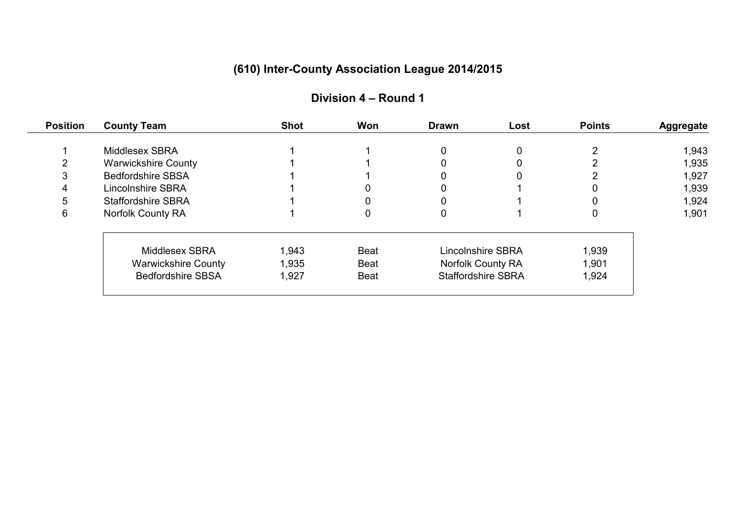| <b>Position</b> | <b>County Team</b>         | <b>Shot</b> | Won         | <b>Drawn</b>              | Lost | <b>Points</b> | <b>Aggregate</b> |
|-----------------|----------------------------|-------------|-------------|---------------------------|------|---------------|------------------|
|                 | Middlesex SBRA             |             |             |                           |      |               | 1,943            |
| ⌒               | <b>Warwickshire County</b> |             |             |                           |      |               | 1,935            |
| 3               | <b>Bedfordshire SBSA</b>   |             |             |                           |      |               | 1,927            |
| 4               | Lincolnshire SBRA          |             |             |                           |      |               | 1,939            |
| 5               | <b>Staffordshire SBRA</b>  |             |             |                           |      |               | 1,924            |
| 6               | <b>Norfolk County RA</b>   |             | 0           |                           |      |               | 1,901            |
|                 | Middlesex SBRA             | 1,943       | <b>Beat</b> | <b>Lincolnshire SBRA</b>  |      | 1,939         |                  |
|                 | <b>Warwickshire County</b> | 1,935       | <b>Beat</b> | Norfolk County RA         |      | 1,901         |                  |
|                 | <b>Bedfordshire SBSA</b>   | 1,927       | <b>Beat</b> | <b>Staffordshire SBRA</b> |      | 1,924         |                  |
|                 |                            |             |             |                           |      |               |                  |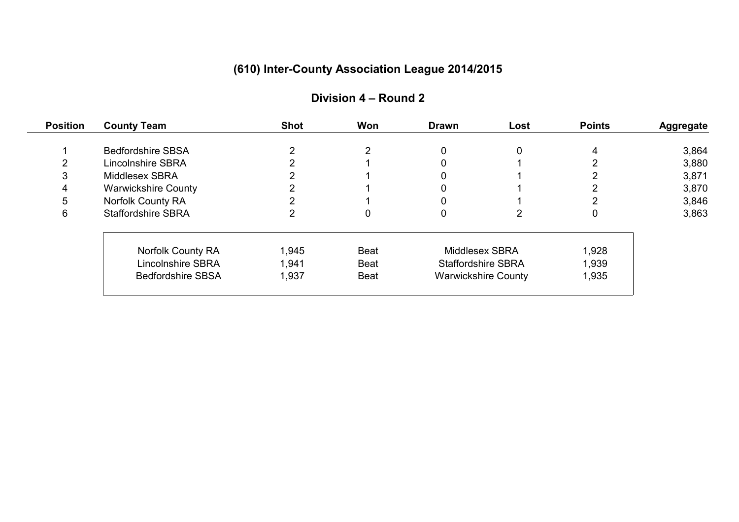| <b>Position</b> | <b>County Team</b>         | <b>Shot</b> | Won         | <b>Drawn</b>               | Lost | <b>Points</b> | <b>Aggregate</b> |
|-----------------|----------------------------|-------------|-------------|----------------------------|------|---------------|------------------|
|                 | <b>Bedfordshire SBSA</b>   |             | 2           | 0                          | 0    |               | 3,864            |
| $\mathcal{P}$   | <b>Lincolnshire SBRA</b>   |             |             |                            |      |               | 3,880            |
| 3               | Middlesex SBRA             |             |             |                            |      |               | 3,871            |
| 4               | <b>Warwickshire County</b> |             |             |                            |      |               | 3,870            |
| 5               | Norfolk County RA          |             |             |                            |      |               | 3,846            |
| 6               | <b>Staffordshire SBRA</b>  |             | 0           | 0                          |      | 0             | 3,863            |
|                 | Norfolk County RA          | 1,945       | <b>Beat</b> | Middlesex SBRA             |      | 1,928         |                  |
|                 | <b>Lincolnshire SBRA</b>   | 1,941       | <b>Beat</b> | <b>Staffordshire SBRA</b>  |      | 1,939         |                  |
|                 | <b>Bedfordshire SBSA</b>   | 1,937       | <b>Beat</b> | <b>Warwickshire County</b> |      | 1,935         |                  |
|                 |                            |             |             |                            |      |               |                  |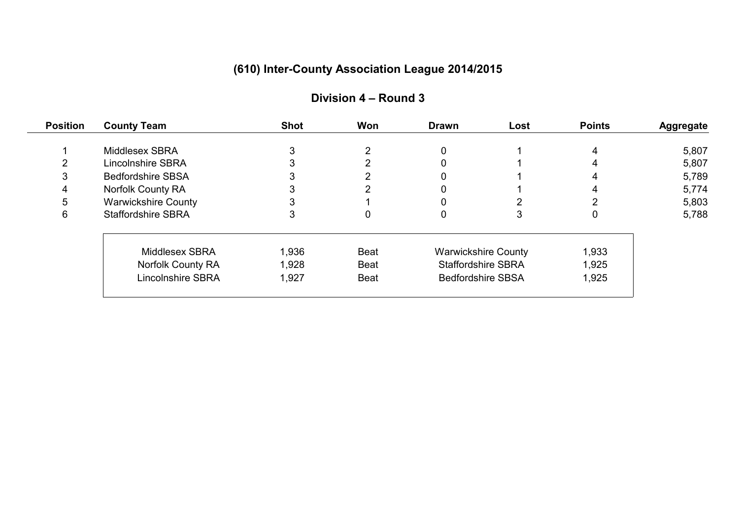| <b>Position</b> | <b>County Team</b>         | <b>Shot</b> | Won         | <b>Drawn</b>               | Lost | <b>Points</b> | <b>Aggregate</b> |
|-----------------|----------------------------|-------------|-------------|----------------------------|------|---------------|------------------|
|                 | Middlesex SBRA             |             | っ           |                            |      |               | 5,807            |
| ົ               | <b>Lincolnshire SBRA</b>   |             |             |                            |      |               | 5,807            |
| 3               | <b>Bedfordshire SBSA</b>   |             |             |                            |      |               | 5,789            |
| 4               | <b>Norfolk County RA</b>   |             |             |                            |      |               | 5,774            |
| 5               | <b>Warwickshire County</b> |             |             |                            |      |               | 5,803            |
| 6               | <b>Staffordshire SBRA</b>  |             | 0           |                            |      | 0             | 5,788            |
|                 | Middlesex SBRA             | 1,936       | <b>Beat</b> | <b>Warwickshire County</b> |      | 1,933         |                  |
|                 | <b>Norfolk County RA</b>   | 1,928       | <b>Beat</b> | <b>Staffordshire SBRA</b>  |      | 1,925         |                  |
|                 | <b>Lincolnshire SBRA</b>   | 1,927       | <b>Beat</b> | <b>Bedfordshire SBSA</b>   |      | 1,925         |                  |
|                 |                            |             |             |                            |      |               |                  |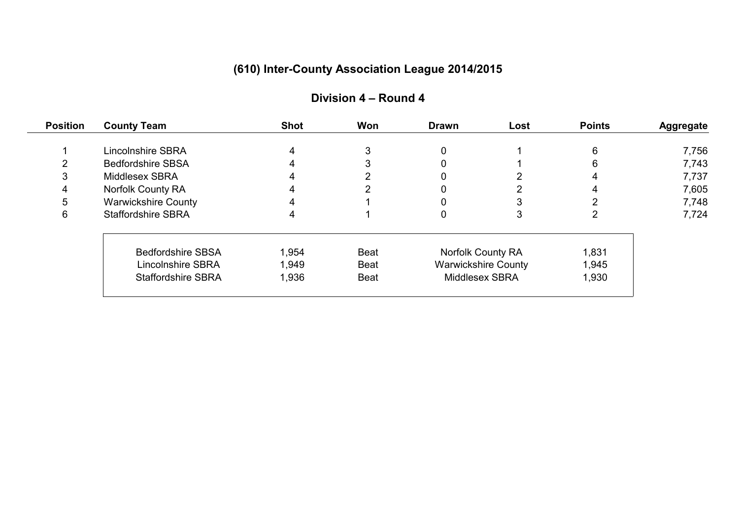| <b>Position</b> | <b>County Team</b>         | <b>Shot</b> | Won         | <b>Drawn</b>          | Lost                       | <b>Points</b> | <b>Aggregate</b> |
|-----------------|----------------------------|-------------|-------------|-----------------------|----------------------------|---------------|------------------|
|                 | <b>Lincolnshire SBRA</b>   |             |             |                       |                            | 6             | 7,756            |
| າ               | <b>Bedfordshire SBSA</b>   |             |             |                       |                            |               | 7,743            |
| 3               | Middlesex SBRA             |             |             |                       |                            |               | 7,737            |
| 4               | <b>Norfolk County RA</b>   |             |             |                       |                            |               | 7,605            |
| 5               | <b>Warwickshire County</b> |             |             |                       |                            |               | 7,748            |
| 6               | <b>Staffordshire SBRA</b>  |             |             |                       |                            |               | 7,724            |
|                 | <b>Bedfordshire SBSA</b>   | 1,954       | <b>Beat</b> | Norfolk County RA     |                            | 1,831         |                  |
|                 | Lincolnshire SBRA          | 1,949       | <b>Beat</b> |                       | <b>Warwickshire County</b> | 1,945         |                  |
|                 | <b>Staffordshire SBRA</b>  | 1,936       | <b>Beat</b> | <b>Middlesex SBRA</b> |                            | 1,930         |                  |
|                 |                            |             |             |                       |                            |               |                  |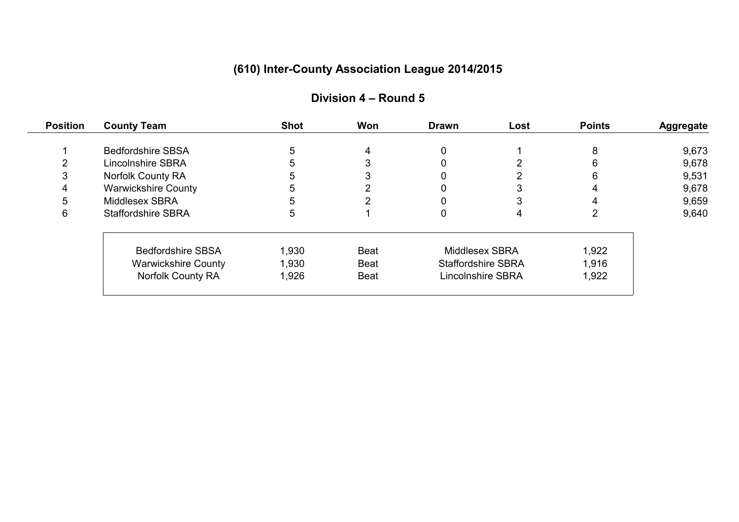| <b>Position</b> | <b>County Team</b>         | <b>Shot</b> | Won         | <b>Drawn</b>              | Lost | <b>Points</b> | <b>Aggregate</b> |
|-----------------|----------------------------|-------------|-------------|---------------------------|------|---------------|------------------|
|                 | <b>Bedfordshire SBSA</b>   |             | 4           |                           |      |               | 9,673            |
| ົ               | <b>Lincolnshire SBRA</b>   |             |             |                           |      |               | 9,678            |
| 3               | Norfolk County RA          |             |             |                           |      |               | 9,531            |
| 4               | <b>Warwickshire County</b> |             |             |                           |      |               | 9,678            |
| 5               | Middlesex SBRA             |             |             |                           |      |               | 9,659            |
| 6               | <b>Staffordshire SBRA</b>  |             |             |                           |      |               | 9,640            |
|                 | <b>Bedfordshire SBSA</b>   | 1,930       | <b>Beat</b> | Middlesex SBRA            |      | 1,922         |                  |
|                 | <b>Warwickshire County</b> | 1,930       | <b>Beat</b> | <b>Staffordshire SBRA</b> |      | 1,916         |                  |
|                 | Norfolk County RA          | 1,926       | <b>Beat</b> | <b>Lincolnshire SBRA</b>  |      | 1,922         |                  |
|                 |                            |             |             |                           |      |               |                  |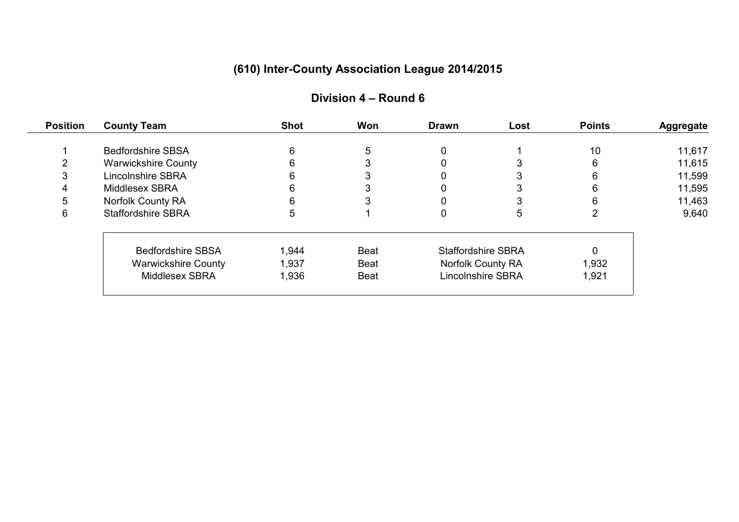| <b>Position</b> | <b>County Team</b>         | <b>Shot</b> | Won         | <b>Drawn</b>              | Lost | <b>Points</b> | <b>Aggregate</b> |
|-----------------|----------------------------|-------------|-------------|---------------------------|------|---------------|------------------|
|                 | <b>Bedfordshire SBSA</b>   |             | 5           |                           |      | 10            | 11,617           |
| ⌒               | <b>Warwickshire County</b> |             |             |                           |      | 6             | 11,615           |
| 3               | <b>Lincolnshire SBRA</b>   |             |             |                           |      |               | 11,599           |
| 4               | Middlesex SBRA             |             |             |                           |      |               | 11,595           |
| 5               | Norfolk County RA          |             |             |                           |      |               | 11,463           |
| 6               | <b>Staffordshire SBRA</b>  |             |             |                           |      |               | 9,640            |
|                 | <b>Bedfordshire SBSA</b>   | 1,944       | <b>Beat</b> | <b>Staffordshire SBRA</b> |      |               |                  |
|                 | <b>Warwickshire County</b> | 1,937       | <b>Beat</b> | Norfolk County RA         |      | 1,932         |                  |
|                 | Middlesex SBRA             | 1,936       | <b>Beat</b> | <b>Lincolnshire SBRA</b>  |      | 1,921         |                  |
|                 |                            |             |             |                           |      |               |                  |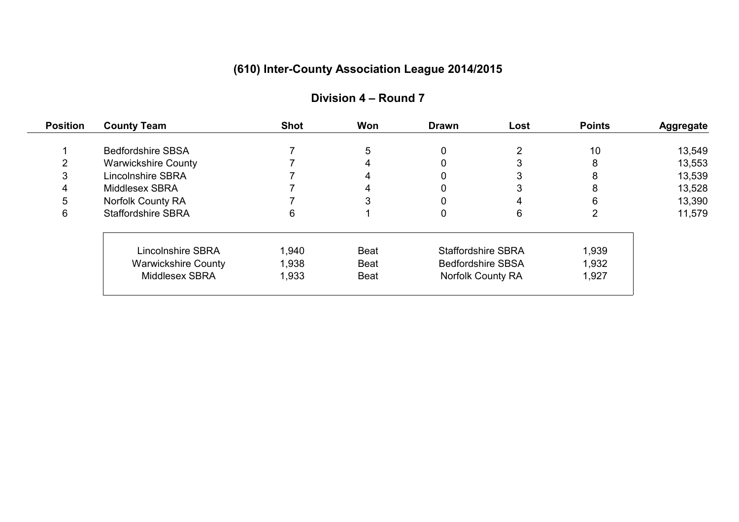| <b>Position</b> | <b>County Team</b>         | <b>Shot</b> | Won         | <b>Drawn</b>              | Lost | <b>Points</b> | <b>Aggregate</b> |
|-----------------|----------------------------|-------------|-------------|---------------------------|------|---------------|------------------|
|                 | <b>Bedfordshire SBSA</b>   |             | 5           |                           |      | 10            | 13,549           |
| ⌒               | <b>Warwickshire County</b> |             |             |                           |      |               | 13,553           |
| 3               | <b>Lincolnshire SBRA</b>   |             |             |                           |      |               | 13,539           |
| 4               | Middlesex SBRA             |             |             |                           |      |               | 13,528           |
| 5               | Norfolk County RA          |             |             |                           |      |               | 13,390           |
| 6               | <b>Staffordshire SBRA</b>  | 6           |             |                           | 6    |               | 11,579           |
|                 | <b>Lincolnshire SBRA</b>   | 1,940       | <b>Beat</b> | <b>Staffordshire SBRA</b> |      | 1,939         |                  |
|                 | <b>Warwickshire County</b> | 1,938       | <b>Beat</b> | <b>Bedfordshire SBSA</b>  |      | 1,932         |                  |
|                 | Middlesex SBRA             | 1,933       | <b>Beat</b> | <b>Norfolk County RA</b>  |      | 1,927         |                  |
|                 |                            |             |             |                           |      |               |                  |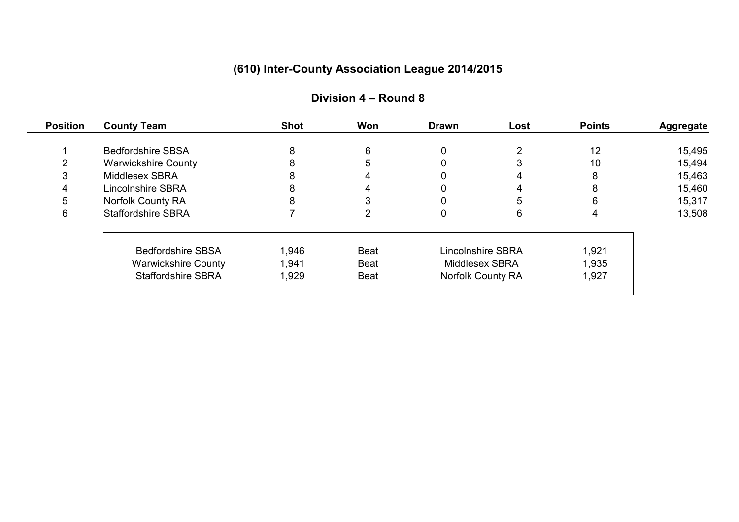| <b>Position</b> | <b>County Team</b>         | <b>Shot</b> | Won         | <b>Drawn</b>             | Lost              | <b>Points</b> | <b>Aggregate</b> |
|-----------------|----------------------------|-------------|-------------|--------------------------|-------------------|---------------|------------------|
|                 | <b>Bedfordshire SBSA</b>   | 8           | 6           |                          |                   | 12            | 15,495           |
| $\mathcal{P}$   | <b>Warwickshire County</b> |             | 5           |                          |                   | 10            | 15,494           |
| 3               | Middlesex SBRA             |             | 4           |                          |                   | 8             | 15,463           |
| 4               | Lincolnshire SBRA          |             |             |                          |                   | 8             | 15,460           |
| 5               | Norfolk County RA          |             |             |                          |                   | 6             | 15,317           |
| 6               | <b>Staffordshire SBRA</b>  |             |             |                          | 6                 | 4             | 13,508           |
|                 | <b>Bedfordshire SBSA</b>   | 1,946       | <b>Beat</b> | <b>Lincolnshire SBRA</b> |                   | 1,921         |                  |
|                 | <b>Warwickshire County</b> | 1,941       | <b>Beat</b> | Middlesex SBRA           |                   | 1,935         |                  |
|                 | <b>Staffordshire SBRA</b>  | 1,929       | <b>Beat</b> |                          | Norfolk County RA | 1,927         |                  |
|                 |                            |             |             |                          |                   |               |                  |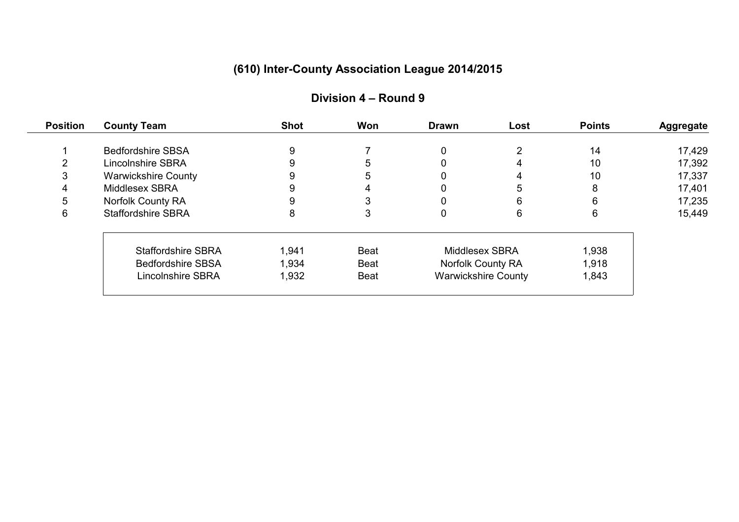| <b>Position</b> | <b>County Team</b>         | <b>Shot</b> | Won         | <b>Drawn</b>             | Lost                       | <b>Points</b> | <b>Aggregate</b> |
|-----------------|----------------------------|-------------|-------------|--------------------------|----------------------------|---------------|------------------|
|                 | <b>Bedfordshire SBSA</b>   | 9           |             | 0                        |                            | 14            | 17,429           |
| $\mathcal{P}$   | <b>Lincolnshire SBRA</b>   |             | 5           |                          |                            | 10            | 17,392           |
| 3               | <b>Warwickshire County</b> |             | 5           |                          |                            | 10            | 17,337           |
| 4               | Middlesex SBRA             |             |             |                          |                            | 8             | 17,401           |
| 5               | Norfolk County RA          |             |             |                          | 6                          | 6             | 17,235           |
| 6               | <b>Staffordshire SBRA</b>  | 8           | 3           | 0                        | 6                          | 6             | 15,449           |
|                 | <b>Staffordshire SBRA</b>  | 1,941       | <b>Beat</b> | Middlesex SBRA           |                            | 1,938         |                  |
|                 | <b>Bedfordshire SBSA</b>   | 1,934       | <b>Beat</b> | <b>Norfolk County RA</b> |                            | 1,918         |                  |
|                 | <b>Lincolnshire SBRA</b>   | 1,932       | <b>Beat</b> |                          | <b>Warwickshire County</b> | 1,843         |                  |
|                 |                            |             |             |                          |                            |               |                  |